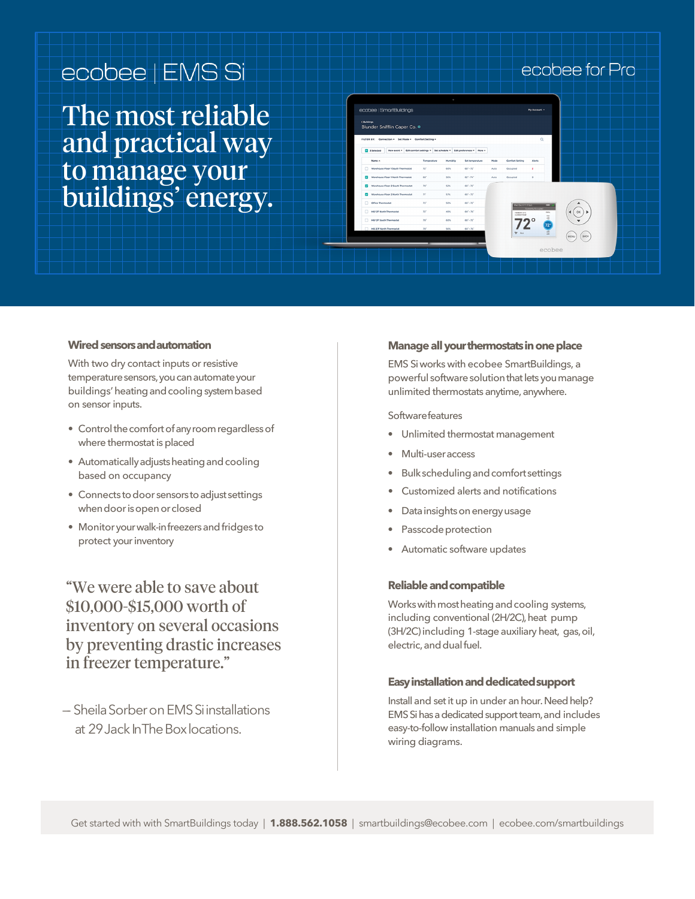## ecobee | EMS Si

The most reliable and practical way to manage your buildings' energy.

### ecobee for Pro

| Blunder Snifflin Caper Co. *<br>FILTER BY: Connection = Set Mode = Comfort Setting =       |                 |          |                             |      |                                   | $\alpha$            |            |      |      |  |  |
|--------------------------------------------------------------------------------------------|-----------------|----------|-----------------------------|------|-----------------------------------|---------------------|------------|------|------|--|--|
| New event = Edit comfort settings = Set schedule = Edit preferences = Nore =<br>3 Selected |                 |          |                             |      |                                   |                     |            |      |      |  |  |
| Name A                                                                                     | Temperature     | Mumidity | Set temperature             | Mode | Comfort Setting                   | <b>Alerts</b>       |            |      |      |  |  |
| Warehouse Floor 1 South Thermostat<br>Ω.                                                   | $22^{+}$        | cox      | $68 - 72$ <sup>*</sup>      | Auto | Occupied                          | ×                   |            |      |      |  |  |
| Warehouse Floor 1 North Thermostat<br>ø                                                    | 6h <sup>*</sup> | 56%      | $63^{\circ}$ + $74^{\circ}$ | Auto | Occupied                          | $\circ$             |            |      |      |  |  |
| Warehouse Floor 2 South Thermostat<br>$\sim$                                               | w               | 52%      | $68 - 72^{\circ}$           |      |                                   |                     |            |      |      |  |  |
| Warehouse Floor 2 North Thermostat                                                         | $77^{\circ}$    | 57%      | $68 - 72$ <sup>*</sup>      |      |                                   |                     |            |      |      |  |  |
| Office Thermostat<br>$\Box$                                                                | 73'             | sos      | $68 - 72$ <sup>*</sup>      |      | Hed Dat 8 11-17 am                |                     | <b>COL</b> |      |      |  |  |
| HQ I/F North Thermostat<br>n                                                               | $22^{\circ}$    | 48%      | $64' - 26'$                 |      | <b>URBANTY KIN</b><br>CURRENTENNY | Currently Direction | con<br>-   |      | OK   |  |  |
| 10 HQ VV South Thermostat                                                                  | $20^{\circ}$    | cox      | $68' - 72'$                 |      |                                   |                     |            |      |      |  |  |
| HQ 2/F North Thermostat                                                                    | $20^{\circ}$    | 56%      | $64' - 76'$                 |      | $2^*$ Ass                         |                     | 72°        |      |      |  |  |
|                                                                                            |                 |          |                             |      |                                   |                     |            | MENU | BACK |  |  |
|                                                                                            |                 |          |                             |      |                                   |                     | ecobee     |      |      |  |  |

#### **Wired sensors andautomation**

With two dry contact inputs or resistive temperature sensors, you can automate your buildings' heating and cooling system based on sensor inputs.

- Control the comfort of any room regardless of where thermostat is placed
- Automatically adjusts heating and cooling based on occupancy
- Connects to door sensors to adjust settings when door is open or closed
- Monitor your walk-in freezers and fridges to protect your inventory

"We were able to save about \$10,000-\$15,000 worth of inventory on several occasions by preventing drastic increases in freezer temperature."

—- SheilaSorberonEMSSiinstallations at 29 Jack In The Box locations.

#### **Manage all your thermostats in one place**

EMS Si works with ecobee SmartBuildings, a powerful software solution that lets you manage unlimited thermostats anytime, anywhere.

**Softwarefeatures** 

- Unlimited thermostat management
- Multi-useraccess
- Bulkschedulingandcomfortsettings
- Customized alerts and notifications
- Data insights on energy usage
- Passcode protection
- Automatic software updates

#### **Reliable andcompatible**

Works with most heating and cooling systems, including conventional (2H/2C), heat pump (3H/2C) including 1-stage auxiliary heat, gas,oil, electric, and dual fuel.

#### **Easy installation and dedicatedsupport**

Install and set it up in under an hour. Need help? EMS Si has a dedicated support team, and includes easy-to-follow installation manuals and simple wiring diagrams.